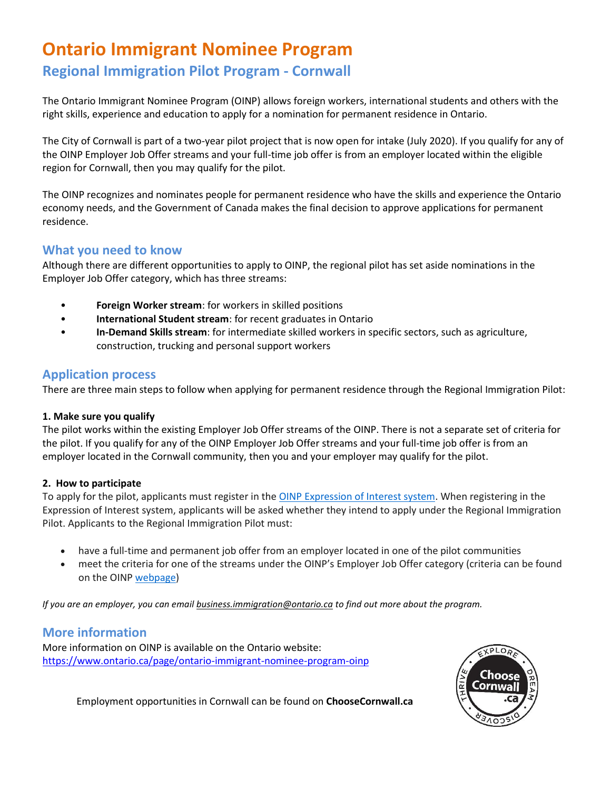# **Ontario Immigrant Nominee Program**

# **Regional Immigration Pilot Program - Cornwall**

The Ontario Immigrant Nominee Program (OINP) allows foreign workers, international students and others with the right skills, experience and education to apply for a nomination for permanent residence in Ontario.

The City of Cornwall is part of a two-year pilot project that is now open for intake (July 2020). If you qualify for any of the OINP Employer Job Offer streams and your full-time job offer is from an employer located within the eligible region for Cornwall, then you may qualify for the pilot.

The OINP recognizes and nominates people for permanent residence who have the skills and experience the Ontario economy needs, and the Government of Canada makes the final decision to approve applications for permanent residence.

### **What you need to know**

Although there are different opportunities to apply to OINP, the regional pilot has set aside nominations in the Employer Job Offer category, which has three streams:

- **Foreign Worker stream**: for workers in skilled positions
- **International Student stream**: for recent graduates in Ontario
- **In-Demand Skills stream**: for intermediate skilled workers in specific sectors, such as agriculture, construction, trucking and personal support workers

### **Application process**

There are three main steps to follow when applying for permanent residence through the Regional Immigration Pilot:

#### **1. Make sure you qualify**

The pilot works within the existing Employer Job Offer streams of the OINP. There is not a separate set of criteria for the pilot. If you qualify for any of the OINP Employer Job Offer streams and your full-time job offer is from an employer located in the Cornwall community, then you and your employer may qualify for the pilot.

#### **2. How to participate**

To apply for the pilot, applicants must register in the OINP [Expression of Interest system.](https://www.ontario.ca/page/register-expression-interest-ontario-immigrant-nominee-program) When registering in the Expression of Interest system, applicants will be asked whether they intend to apply under the Regional Immigration Pilot. Applicants to the Regional Immigration Pilot must:

- have a full-time and permanent job offer from an employer located in one of the pilot communities
- meet the criteria for one of the streams under the OINP's Employer Job Offer category (criteria can be found on the OINP [webpage\)](https://www.ontario.ca/page/ontario-immigrant-nominee-program-oinp)

*If you are an employer, you can email [business.immigration@ontario.ca](mailto:business.immigration@ontario.ca) to find out more about the program.*

### **More information**

More information on OINP is available on the Ontario website: <https://www.ontario.ca/page/ontario-immigrant-nominee-program-oinp>



Employment opportunities in Cornwall can be found on **ChooseCornwall.ca**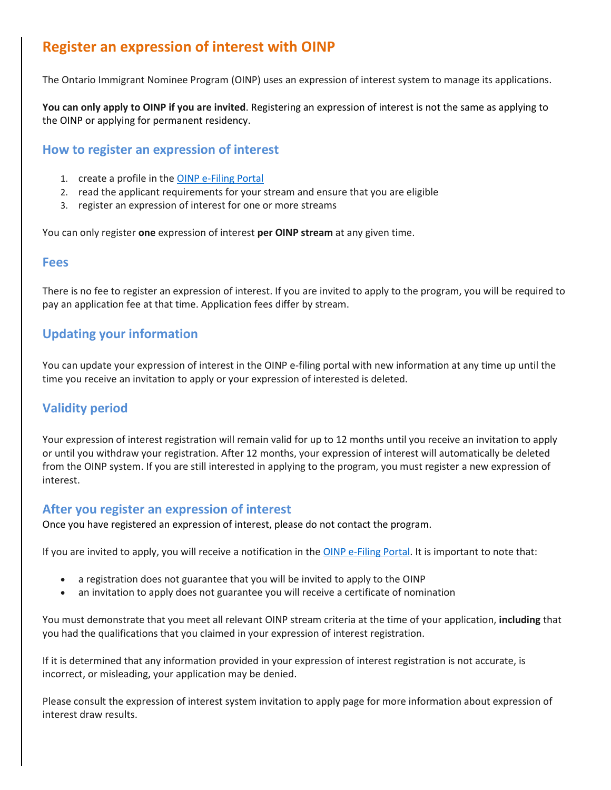# **Register an expression of interest with OINP**

The Ontario Immigrant Nominee Program (OINP) uses an expression of interest system to manage its applications.

**You can only apply to OINP if you are invited**. Registering an expression of interest is not the same as applying to the OINP or applying for permanent residency.

#### **How to register an expression of interest**

- 1. create a profile in the OINP [e-Filing Portal](https://www.ontarioimmigration.gov.on.ca/oinp_index/resources/app/guest/index.html#!/)
- 2. read the applicant requirements for your stream and ensure that you are eligible
- 3. register an expression of interest for one or more streams

You can only register **one** expression of interest **per OINP stream** at any given time.

#### **Fees**

There is no fee to register an expression of interest. If you are invited to apply to the program, you will be required to pay an application fee at that time. Application fees differ by stream.

### **Updating your information**

You can update your expression of interest in the OINP e-filing portal with new information at any time up until the time you receive an invitation to apply or your expression of interested is deleted.

### **Validity period**

Your expression of interest registration will remain valid for up to 12 months until you receive an invitation to apply or until you withdraw your registration. After 12 months, your expression of interest will automatically be deleted from the OINP system. If you are still interested in applying to the program, you must register a new expression of interest.

#### **After you register an expression of interest**

Once you have registered an expression of interest, please do not contact the program.

If you are invited to apply, you will receive a notification in the OINP [e-Filing Portal.](https://www.ontarioimmigration.gov.on.ca/oinp_index/resources/app/guest/index.html#!/) It is important to note that:

- a registration does not guarantee that you will be invited to apply to the OINP
- an invitation to apply does not guarantee you will receive a certificate of nomination

You must demonstrate that you meet all relevant OINP stream criteria at the time of your application, **including** that you had the qualifications that you claimed in your expression of interest registration.

If it is determined that any information provided in your expression of interest registration is not accurate, is incorrect, or misleading, your application may be denied.

Please consult the expression of interest system invitation to apply page for more information about expression of interest draw results.